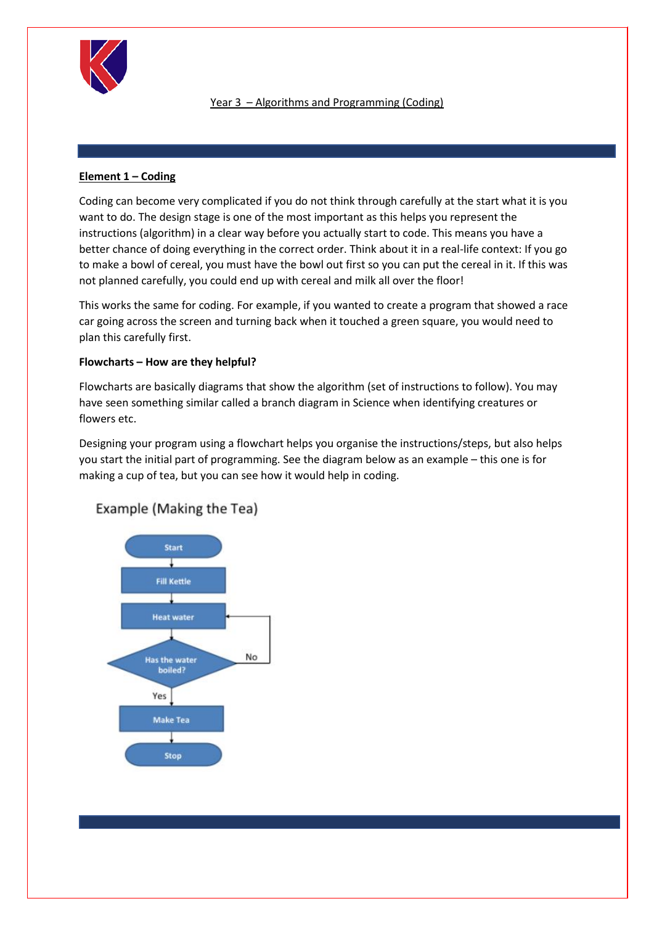

# Year 3 – Algorithms and Programming (Coding)

# **Element 1 – Coding**

Coding can become very complicated if you do not think through carefully at the start what it is you want to do. The design stage is one of the most important as this helps you represent the instructions (algorithm) in a clear way before you actually start to code. This means you have a better chance of doing everything in the correct order. Think about it in a real-life context: If you go to make a bowl of cereal, you must have the bowl out first so you can put the cereal in it. If this was not planned carefully, you could end up with cereal and milk all over the floor!

This works the same for coding. For example, if you wanted to create a program that showed a race car going across the screen and turning back when it touched a green square, you would need to plan this carefully first.

## **Flowcharts – How are they helpful?**

Flowcharts are basically diagrams that show the algorithm (set of instructions to follow). You may have seen something similar called a branch diagram in Science when identifying creatures or flowers etc.

Designing your program using a flowchart helps you organise the instructions/steps, but also helps you start the initial part of programming. See the diagram below as an example – this one is for making a cup of tea, but you can see how it would help in coding.



# Example (Making the Tea)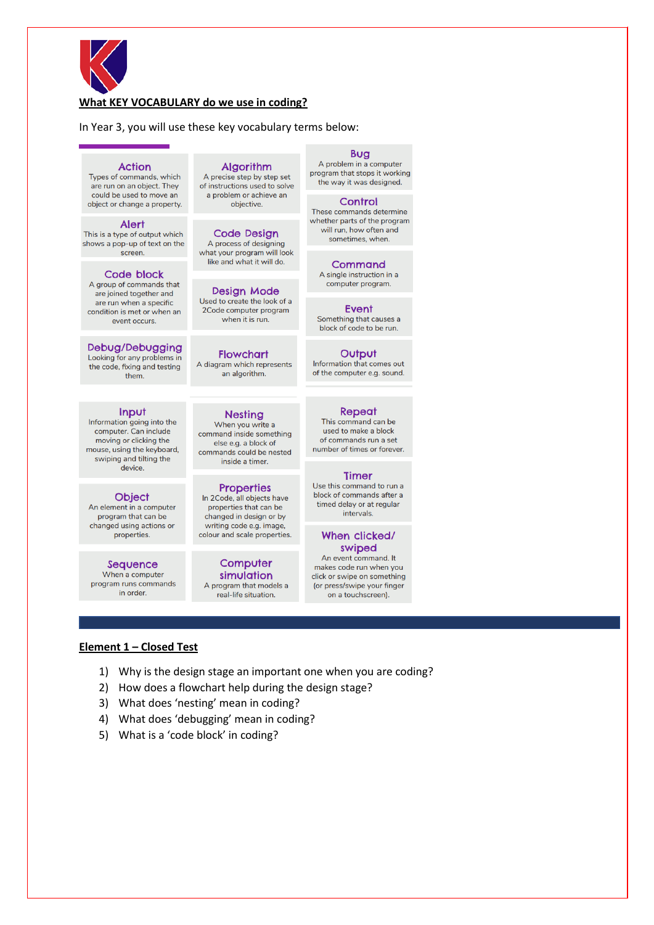

## What KEY VOCABULARY do we use in coding?

In Year 3, you will use these key vocabulary terms below:

### **Action**

Types of commands, which are run on an object. They could be used to move an object or change a property.

### **Alert**

This is a type of output which shows a pop-up of text on the screen

### Code block

A group of commands that are joined together and are run when a specific condition is met or when an event occurs.

Debug/Debugging Looking for any problems in the code, fixing and testing them

### Input

Information going into the computer. Can include moving or clicking the mouse, using the keyboard, swiping and tilting the device

# **Object**

An element in a computer program that can be changed using actions or properties.

Sequence When a computer program runs commands in order.

**Algorithm** A precise step by step set

of instructions used to solve a problem or achieve an objective.

**Code Design** A process of designing what your program will look like and what it will do.

Design Mode Used to create the look of a 2Code computer program when it is run.

**Flowchart** A diagram which represents an algorithm.

## **Nesting**

When you write a command inside something else e.g. a block of commands could be nested inside a timer.

#### **Properties** In 2Code, all objects have properties that can be changed in design or by writing code e.g. image, colour and scale properties.

Computer simulation A program that models a real-life situation.

**Bug** A problem in a computer program that stops it working the way it was designed.

#### Control

These commands determine whether parts of the program will run, how often and sometimes, when.

Command

A single instruction in a computer program.

Event Something that causes a block of code to be run.

Output Information that comes out of the computer e.g. sound.

## Repeat

This command can be used to make a block of commands run a set number of times or forever.

### **Timer**

Use this command to run a block of commands after a timed delay or at regular intervals.

### When clicked/ swiped

An event command. It makes code run when you click or swipe on something (or press/swipe your finger on a touchscreen).

### Element 1 - Closed Test

- 1) Why is the design stage an important one when you are coding?
- 2) How does a flowchart help during the design stage?
- 3) What does 'nesting' mean in coding?
- 4) What does 'debugging' mean in coding?
- 5) What is a 'code block' in coding?